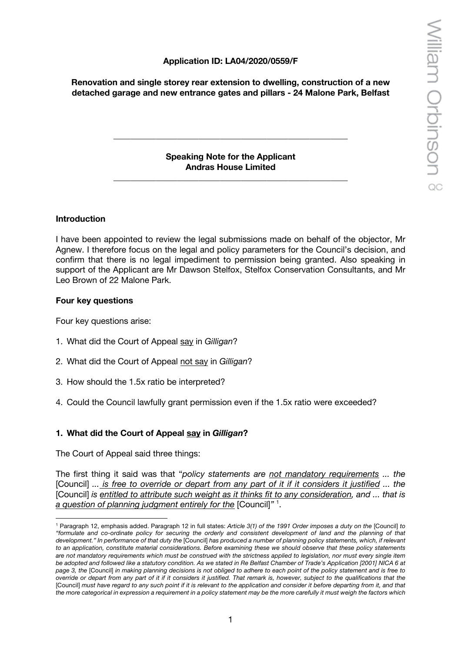## **Application ID: LA04/2020/0559/F**

**Renovation and single storey rear extension to dwelling, construction of a new detached garage and new entrance gates and pillars - 24 Malone Park, Belfast**

> **Speaking Note for the Applicant Andras House Limited**

\_\_\_\_\_\_\_\_\_\_\_\_\_\_\_\_\_\_\_\_\_\_\_\_\_\_\_\_\_\_\_\_\_\_\_\_\_\_\_\_\_\_\_\_\_\_\_\_\_\_\_\_\_\_\_

**\_\_\_\_\_\_\_\_\_\_\_\_\_\_\_\_\_\_\_\_\_\_\_\_\_\_\_\_\_\_\_\_\_\_\_\_\_\_\_\_\_\_\_\_\_\_\_\_\_\_\_\_\_\_\_**

#### **Introduction**

I have been appointed to review the legal submissions made on behalf of the objector, Mr Agnew. I therefore focus on the legal and policy parameters for the Council's decision, and confirm that there is no legal impediment to permission being granted. Also speaking in support of the Applicant are Mr Dawson Stelfox, Stelfox Conservation Consultants, and Mr Leo Brown of 22 Malone Park.

#### **Four key questions**

Four key questions arise:

- 1. What did the Court of Appeal say in *Gilligan*?
- 2. What did the Court of Appeal not say in *Gilligan*?
- 3. How should the 1.5x ratio be interpreted?
- 4. Could the Council lawfully grant permission even if the 1.5x ratio were exceeded?

## **1. What did the Court of Appeal say in** *Gilligan***?**

The Court of Appeal said three things:

The first thing it said was that "*policy statements are not mandatory requirements ... the*  [Council] *... is free to override or depart from any part of it if it considers it justified ... the*  [Council] *is entitled to attribute such weight as it thinks fit to any consideration, and ... that is a question of planning judgment entirely for the* [Council]*"* <sup>1</sup> .

<sup>1</sup> Paragraph 12, emphasis added. Paragraph 12 in full states: *Article 3(1) of the 1991 Order imposes a duty on the* [Council] *to "formulate and co-ordinate policy for securing the orderly and consistent development of land and the planning of that development." In performance of that duty the* [Council] *has produced a number of planning policy statements, which, if relevant to an application, constitute material considerations. Before examining these we should observe that these policy statements are not mandatory requirements which must be construed with the strictness applied to legislation, nor must every single item be adopted and followed like a statutory condition. As we stated in Re Belfast Chamber of Trade's Application [2001] NICA 6 at page 3, the* [Council] *in making planning decisions is not obliged to adhere to each point of the policy statement and is free to override or depart from any part of it if it considers it justified. That remark is, however, subject to the qualifications that the*  [Council] *must have regard to any such point if it is relevant to the application and consider it before departing from it, and that the more categorical in expression a requirement in a policy statement may be the more carefully it must weigh the factors which*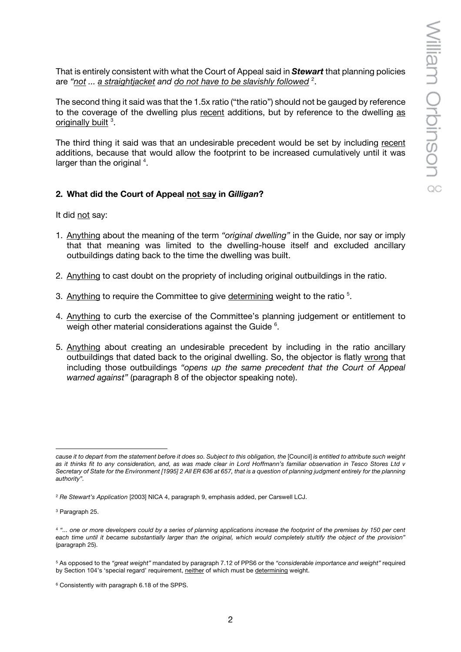That is entirely consistent with what the Court of Appeal said in *Stewart* that planning policies are *"not ... a straightjacket and do not have to be slavishly followed* <sup>2</sup> .

The second thing it said was that the 1.5x ratio ("the ratio") should not be gauged by reference to the coverage of the dwelling plus recent additions, but by reference to the dwelling as originally built<sup>3</sup>.

The third thing it said was that an undesirable precedent would be set by including recent additions, because that would allow the footprint to be increased cumulatively until it was larger than the original  $4$ .

## **2. What did the Court of Appeal not say in** *Gilligan***?**

It did not say:

- 1. Anything about the meaning of the term *"original dwelling"* in the Guide, nor say or imply that that meaning was limited to the dwelling-house itself and excluded ancillary outbuildings dating back to the time the dwelling was built.
- 2. Anything to cast doubt on the propriety of including original outbuildings in the ratio.
- 3. Anything to require the Committee to give determining weight to the ratio<sup>5</sup>.
- 4. Anything to curb the exercise of the Committee's planning judgement or entitlement to weigh other material considerations against the Guide <sup>6</sup>.
- 5. Anything about creating an undesirable precedent by including in the ratio ancillary outbuildings that dated back to the original dwelling. So, the objector is flatly wrong that including those outbuildings *"opens up the same precedent that the Court of Appeal warned against"* (paragraph 8 of the objector speaking note).

*cause it to depart from the statement before it does so. Subject to this obligation, the* [Council] *is entitled to attribute such weight as it thinks fit to any consideration, and, as was made clear in Lord Hoffmann's familiar observation in Tesco Stores Ltd v Secretary of State for the Environment [1995] 2 All ER 636 at 657, that is a question of planning judgment entirely for the planning authority".*

<sup>2</sup> *Re Stewart's Application* [2003] NICA 4, paragraph 9, emphasis added, per Carswell LCJ.

<sup>3</sup> Paragraph 25.

<sup>4</sup> *"... one or more developers could by a series of planning applications increase the footprint of the premises by 150 per cent each time until it became substantially larger than the original, which would completely stultify the object of the provision"* (paragraph 25).

<sup>5</sup> As opposed to the *"great weight"* mandated by paragraph 7.12 of PPS6 or the *"considerable importance and weight"* required by Section 104's 'special regard' requirement, neither of which must be determining weight.

<sup>6</sup> Consistently with paragraph 6.18 of the SPPS.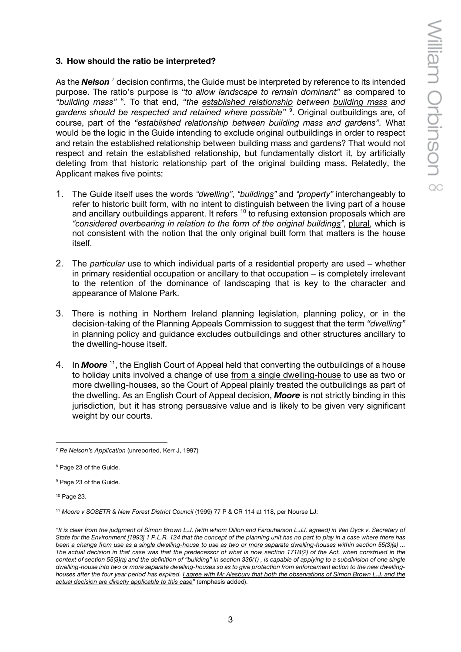# **3. How should the ratio be interpreted?**

As the **Nelson**<sup>7</sup> decision confirms, the Guide must be interpreted by reference to its intended purpose. The ratio's purpose is *"to allow landscape to remain dominant"* as compared to *"building mass"* <sup>8</sup> . To that end, *"the established relationship between building mass and gardens should be respected and retained where possible"* <sup>9</sup> . Original outbuildings are, of course, part of the *"established relationship between building mass and gardens".* What would be the logic in the Guide intending to exclude original outbuildings in order to respect and retain the established relationship between building mass and gardens? That would not respect and retain the established relationship, but fundamentally distort it, by artificially deleting from that historic relationship part of the original building mass. Relatedly, the Applicant makes five points:

- 1. The Guide itself uses the words *"dwelling"*, *"buildings"* and *"property"* interchangeably to refer to historic built form, with no intent to distinguish between the living part of a house and ancillary outbuildings apparent. It refers <sup>10</sup> to refusing extension proposals which are *"considered overbearing in relation to the form of the original buildings"*, plural, which is not consistent with the notion that the only original built form that matters is the house itself.
- 2. The *particular* use to which individual parts of a residential property are used whether in primary residential occupation or ancillary to that occupation – is completely irrelevant to the retention of the dominance of landscaping that is key to the character and appearance of Malone Park.
- 3. There is nothing in Northern Ireland planning legislation, planning policy, or in the decision-taking of the Planning Appeals Commission to suggest that the term *"dwelling"*  in planning policy and guidance excludes outbuildings and other structures ancillary to the dwelling-house itself.
- 4. In *Moore* 11, the English Court of Appeal held that converting the outbuildings of a house to holiday units involved a change of use from a single dwelling-house to use as two or more dwelling-houses, so the Court of Appeal plainly treated the outbuildings as part of the dwelling. As an English Court of Appeal decision, *Moore* is not strictly binding in this jurisdiction, but it has strong persuasive value and is likely to be given very significant weight by our courts.

<sup>10</sup> Page 23.

<sup>7</sup> *Re Nelson's Application* (unreported, Kerr J, 1997)

<sup>8</sup> Page 23 of the Guide.

<sup>9</sup> Page 23 of the Guide.

<sup>11</sup> *Moore v SOSETR & New Forest District Council* (1999) 77 P & CR 114 at 118, per Nourse LJ:

*<sup>&</sup>quot;It is clear from the judgment of Simon Brown L.J. (with whom Dillon and Farquharson L.JJ. agreed) in Van Dyck v. Secretary of State for the Environment [1993] 1 P.L.R. 124 that the concept of the planning unit has no part to play in a case where there has been a change from use as a single dwelling-house to use as two or more separate dwelling-houses within section 55(3)(a) ... The actual decision in that case was that the predecessor of what is now section 171B(2) of the Act, when construed in the context of section 55(3)(a) and the definition of "building" in section 336(1) , is capable of applying to a subdivision of one single dwelling-house into two or more separate dwelling-houses so as to give protection from enforcement action to the new dwellinghouses after the four year period has expired. I agree with Mr Alesbury that both the observations of Simon Brown L.J. and the actual decision are directly applicable to this case"* (emphasis added).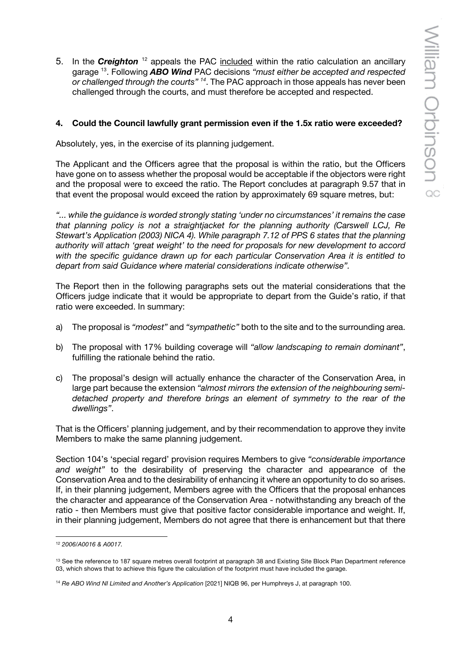5. In the *Creighton* <sup>12</sup> appeals the PAC included within the ratio calculation an ancillary garage 13. Following *ABO Wind* PAC decisions *"must either be accepted and respected or challenged through the courts" <sup>14</sup>*. The PAC approach in those appeals has never been challenged through the courts, and must therefore be accepted and respected.

#### **4. Could the Council lawfully grant permission even if the 1.5x ratio were exceeded?**

Absolutely, yes, in the exercise of its planning judgement.

The Applicant and the Officers agree that the proposal is within the ratio, but the Officers have gone on to assess whether the proposal would be acceptable if the objectors were right and the proposal were to exceed the ratio. The Report concludes at paragraph 9.57 that in that event the proposal would exceed the ration by approximately 69 square metres, but:

*"... while the guidance is worded strongly stating 'under no circumstances' it remains the case that planning policy is not a straightjacket for the planning authority (Carswell LCJ, Re Stewart's Application (2003) NICA 4). While paragraph 7.12 of PPS 6 states that the planning authority will attach 'great weight' to the need for proposals for new development to accord with the specific guidance drawn up for each particular Conservation Area it is entitled to depart from said Guidance where material considerations indicate otherwise".*

The Report then in the following paragraphs sets out the material considerations that the Officers judge indicate that it would be appropriate to depart from the Guide's ratio, if that ratio were exceeded. In summary:

- a) The proposal is *"modest"* and *"sympathetic"* both to the site and to the surrounding area.
- b) The proposal with 17% building coverage will *"allow landscaping to remain dominant"*, fulfilling the rationale behind the ratio.
- c) The proposal's design will actually enhance the character of the Conservation Area, in large part because the extension *"almost mirrors the extension of the neighbouring semidetached property and therefore brings an element of symmetry to the rear of the dwellings"*.

That is the Officers' planning judgement, and by their recommendation to approve they invite Members to make the same planning judgement.

Section 104's 'special regard' provision requires Members to give *"considerable importance and weight"* to the desirability of preserving the character and appearance of the Conservation Area and to the desirability of enhancing it where an opportunity to do so arises. If, in their planning judgement, Members agree with the Officers that the proposal enhances the character and appearance of the Conservation Area - notwithstanding any breach of the ratio - then Members must give that positive factor considerable importance and weight. If, in their planning judgement, Members do not agree that there is enhancement but that there

<sup>12</sup> *2006/A0016 & A0017.*

<sup>&</sup>lt;sup>13</sup> See the reference to 187 square metres overall footprint at paragraph 38 and Existing Site Block Plan Department reference 03, which shows that to achieve this figure the calculation of the footprint must have included the garage.

<sup>14</sup> *Re ABO Wind NI Limited and Another's Application* [2021] NIQB 96, per Humphreys J, at paragraph 100.